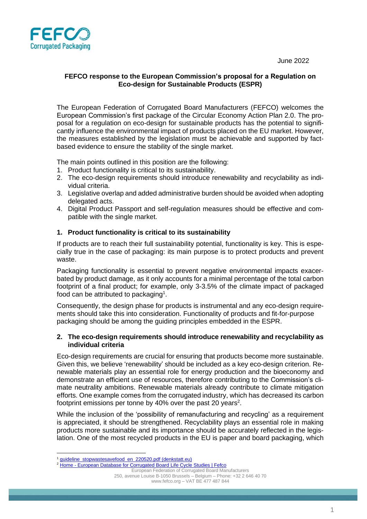June 2022



# **FEFCO response to the European Commission's proposal for a Regulation on Eco-design for Sustainable Products (ESPR)**

The European Federation of Corrugated Board Manufacturers (FEFCO) welcomes the European Commission's first package of the Circular Economy Action Plan 2.0. The proposal for a regulation on eco-design for sustainable products has the potential to significantly influence the environmental impact of products placed on the EU market. However, the measures established by the legislation must be achievable and supported by factbased evidence to ensure the stability of the single market.

The main points outlined in this position are the following:

- 1. Product functionality is critical to its sustainability.
- 2. The eco-design requirements should introduce renewability and recyclability as individual criteria.
- 3. Legislative overlap and added administrative burden should be avoided when adopting delegated acts.
- 4. Digital Product Passport and self-regulation measures should be effective and compatible with the single market.

## **1. Product functionality is critical to its sustainability**

If products are to reach their full sustainability potential, functionality is key. This is especially true in the case of packaging: its main purpose is to protect products and prevent waste.

Packaging functionality is essential to prevent negative environmental impacts exacerbated by product damage, as it only accounts for a minimal percentage of the total carbon footprint of a final product; for example, only 3-3.5% of the climate impact of packaged food can be attributed to packaging<sup>1</sup>.

Consequently, the design phase for products is instrumental and any eco-design requirements should take this into consideration. Functionality of products and fit-for-purpose packaging should be among the guiding principles embedded in the ESPR.

#### **2. The eco-design requirements should introduce renewability and recyclability as individual criteria**

Eco-design requirements are crucial for ensuring that products become more sustainable. Given this, we believe 'renewability' should be included as a key eco-design criterion. Renewable materials play an essential role for energy production and the bioeconomy and demonstrate an efficient use of resources, therefore contributing to the Commission's climate neutrality ambitions. Renewable materials already contribute to climate mitigation efforts. One example comes from the corrugated industry, which has decreased its carbon footprint emissions per tonne by 40% over the past 20 years<sup>2</sup>.

While the inclusion of the 'possibility of remanufacturing and recycling' as a requirement is appreciated, it should be strengthened. Recyclability plays an essential role in making products more sustainable and its importance should be accurately reflected in the legislation. One of the most recycled products in the EU is paper and board packaging, which

Home - [European Database for Corrugated Board Life Cycle Studies | Fefco](https://www.fefco.org/lca)

European Federation of Corrugated Board Manufacturers 250, avenue Louise B-1050 Brussels – Belgium – Phone: +32 2 646 40 70 [www.fefco.org](http://www.fefco.org/) – VAT BE 477 487 844

[guideline\\_stopwastesavefood\\_en\\_220520.pdf \(denkstatt.eu\)](https://denkstatt.eu/wp-content/uploads/2020/08/guideline_stopwastesavefood_en_220520.pdf)